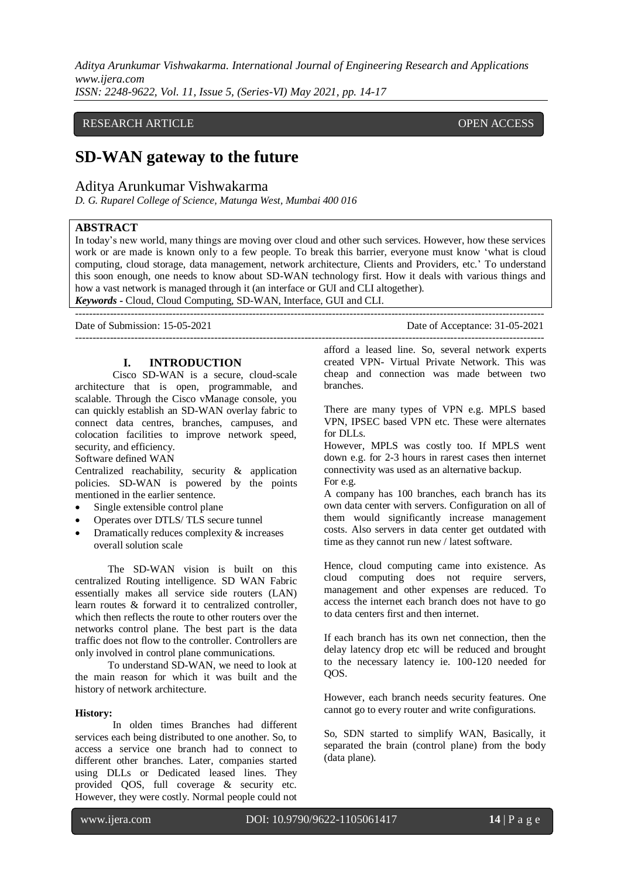*Aditya Arunkumar Vishwakarma. International Journal of Engineering Research and Applications www.ijera.com*

*ISSN: 2248-9622, Vol. 11, Issue 5, (Series-VI) May 2021, pp. 14-17*

## RESEARCH ARTICLE **CONSERVERS** OPEN ACCESS

# **SD-WAN gateway to the future**

## Aditya Arunkumar Vishwakarma

*D. G. Ruparel College of Science, Matunga West, Mumbai 400 016*

## **ABSTRACT**

In today's new world, many things are moving over cloud and other such services. However, how these services work or are made is known only to a few people. To break this barrier, everyone must know 'what is cloud computing, cloud storage, data management, network architecture, Clients and Providers, etc.' To understand this soon enough, one needs to know about SD-WAN technology first. How it deals with various things and how a vast network is managed through it (an interface or GUI and CLI altogether). *Keywords* **-** Cloud, Cloud Computing, SD-WAN, Interface, GUI and CLI.

---------------------------------------------------------------------------------------------------------------------------------------

Date of Submission: 15-05-2021 Date of Acceptance: 31-05-2021 ---------------------------------------------------------------------------------------------------------------------------------------

#### **I. INTRODUCTION**

Cisco SD-WAN is a secure, cloud-scale architecture that is open, programmable, and scalable. Through the Cisco vManage console, you can quickly establish an SD-WAN overlay fabric to connect data centres, branches, campuses, and colocation facilities to improve network speed, security, and efficiency.

#### Software defined WAN

Centralized reachability, security & application policies. SD-WAN is powered by the points mentioned in the earlier sentence.

- Single extensible control plane
- Operates over DTLS/ TLS secure tunnel
- Dramatically reduces complexity & increases overall solution scale

The SD-WAN vision is built on this centralized Routing intelligence. SD WAN Fabric essentially makes all service side routers (LAN) learn routes & forward it to centralized controller, which then reflects the route to other routers over the networks control plane. The best part is the data traffic does not flow to the controller. Controllers are only involved in control plane communications.

To understand SD-WAN, we need to look at the main reason for which it was built and the history of network architecture.

#### **History:**

In olden times Branches had different services each being distributed to one another. So, to access a service one branch had to connect to different other branches. Later, companies started using DLLs or Dedicated leased lines. They provided QOS, full coverage & security etc. However, they were costly. Normal people could not

afford a leased line. So, several network experts created VPN- Virtual Private Network. This was cheap and connection was made between two branches.

There are many types of VPN e.g. MPLS based VPN, IPSEC based VPN etc. These were alternates for DLLs.

However, MPLS was costly too. If MPLS went down e.g. for 2-3 hours in rarest cases then internet connectivity was used as an alternative backup. For e.g.

A company has 100 branches, each branch has its own data center with servers. Configuration on all of them would significantly increase management costs. Also servers in data center get outdated with time as they cannot run new / latest software.

Hence, cloud computing came into existence. As cloud computing does not require servers, management and other expenses are reduced. To access the internet each branch does not have to go to data centers first and then internet.

If each branch has its own net connection, then the delay latency drop etc will be reduced and brought to the necessary latency ie. 100-120 needed for QOS.

However, each branch needs security features. One cannot go to every router and write configurations.

So, SDN started to simplify WAN, Basically, it separated the brain (control plane) from the body (data plane).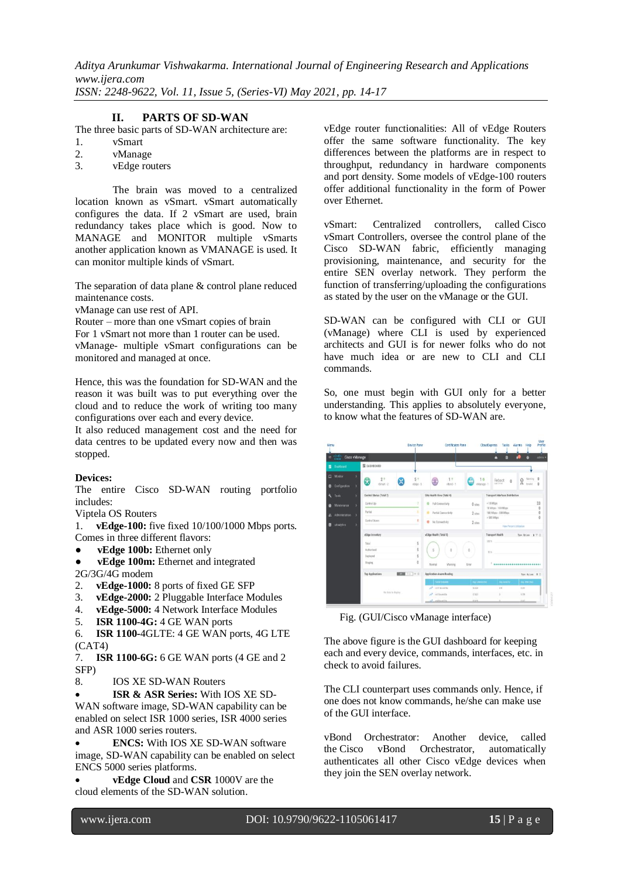*Aditya Arunkumar Vishwakarma. International Journal of Engineering Research and Applications www.ijera.com ISSN: 2248-9622, Vol. 11, Issue 5, (Series-VI) May 2021, pp. 14-17*

#### **II. PARTS OF SD-WAN**

The three basic parts of SD-WAN architecture are:

- 1. vSmart
- 2. vManage
- 3. vEdge routers

The brain was moved to a centralized location known as vSmart. vSmart automatically configures the data. If 2 vSmart are used, brain redundancy takes place which is good. Now to MANAGE and MONITOR multiple vSmarts another application known as VMANAGE is used. It can monitor multiple kinds of vSmart.

The separation of data plane & control plane reduced maintenance costs.

vManage can use rest of API.

Router – more than one vSmart copies of brain

For 1 vSmart not more than 1 router can be used.

vManage- multiple vSmart configurations can be monitored and managed at once.

Hence, this was the foundation for SD-WAN and the reason it was built was to put everything over the cloud and to reduce the work of writing too many configurations over each and every device.

It also reduced management cost and the need for data centres to be updated every now and then was stopped.

#### **Devices:**

The entire Cisco SD-WAN routing portfolio includes:

Viptela OS Routers

1. **vEdge-100:** five fixed 10/100/1000 Mbps ports. Comes in three different flavors:

- **vEdge 100b:** Ethernet only
- **vEdge 100m:** Ethernet and integrated 2G/3G/4G modem
- 2. **vEdge-1000:** 8 ports of fixed GE SFP
- 3. **vEdge-2000:** 2 Pluggable Interface Modules
- 4. **vEdge-5000:** 4 Network Interface Modules
- 5. **ISR 1100-4G:** 4 GE WAN ports

6. **ISR 1100-**4GLTE: 4 GE WAN ports, 4G LTE (CAT4)

7. **ISR 1100-6G:** 6 GE WAN ports (4 GE and 2 SFP)

8. IOS XE SD-WAN Routers

 **ISR & ASR Series:** With IOS XE SD-WAN software image, SD-WAN capability can be enabled on select ISR 1000 series, ISR 4000 series and ASR 1000 series routers.

 **ENCS:** With IOS XE SD-WAN software image, SD-WAN capability can be enabled on select ENCS 5000 series platforms.

 **vEdge Cloud** and **CSR** 1000V are the cloud elements of the SD-WAN solution.

vEdge router functionalities: All of vEdge Routers offer the same software functionality. The key differences between the platforms are in respect to throughput, redundancy in hardware components and port density. Some models of vEdge-100 routers offer additional functionality in the form of Power over Ethernet.

vSmart: Centralized controllers, called Cisco vSmart Controllers, oversee the control plane of the Cisco SD-WAN fabric, efficiently managing provisioning, maintenance, and security for the entire SEN overlay network. They perform the function of transferring/uploading the configurations as stated by the user on the vManage or the GUI.

SD-WAN can be configured with CLI or GUI (vManage) where CLI is used by experienced architects and GUI is for newer folks who do not have much idea or are new to CLI and CLI commands.

So, one must begin with GUI only for a better understanding. This applies to absolutely everyone, to know what the features of SD-WAN are.



Fig. (GUI/Cisco vManage interface)

The above figure is the GUI dashboard for keeping each and every device, commands, interfaces, etc. in check to avoid failures.

The CLI counterpart uses commands only. Hence, if one does not know commands, he/she can make use of the GUI interface.

vBond Orchestrator: Another device, called the Cisco vBond Orchestrator, automatically authenticates all other Cisco vEdge devices when they join the SEN overlay network.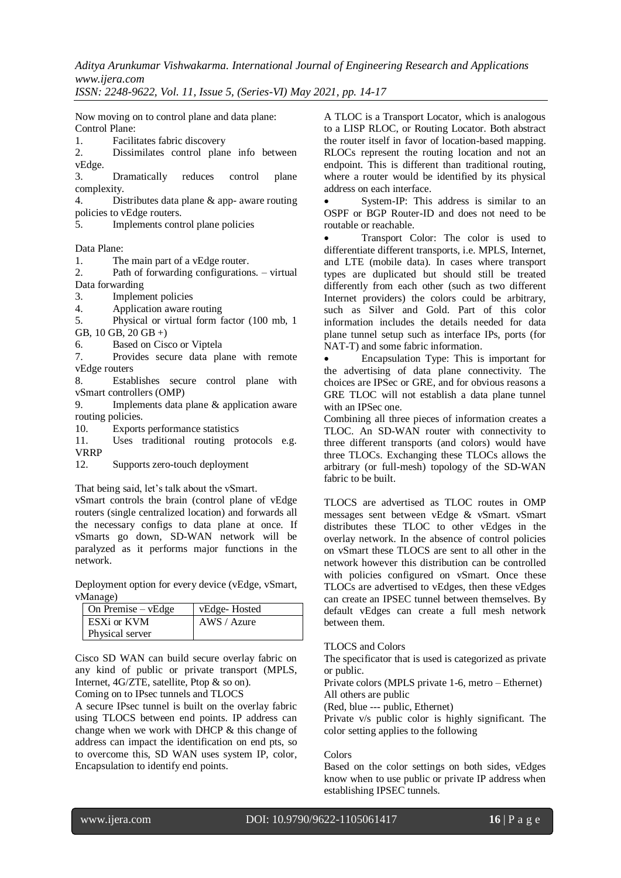*Aditya Arunkumar Vishwakarma. International Journal of Engineering Research and Applications www.ijera.com*

*ISSN: 2248-9622, Vol. 11, Issue 5, (Series-VI) May 2021, pp. 14-17*

Now moving on to control plane and data plane: Control Plane:

1. Facilitates fabric discovery

2. Dissimilates control plane info between vEdge.

3. Dramatically reduces control plane complexity.

4. Distributes data plane & app- aware routing policies to vEdge routers.

5. Implements control plane policies

Data Plane:

1. The main part of a vEdge router.

2. Path of forwarding configurations. – virtual Data forwarding

3. Implement policies

4. Application aware routing

5. Physical or virtual form factor (100 mb, 1 GB, 10 GB, 20 GB +)

6. Based on Cisco or Viptela

7. Provides secure data plane with remote vEdge routers

8. Establishes secure control plane with vSmart controllers (OMP)

9. Implements data plane & application aware routing policies.

10. Exports performance statistics

11. Uses traditional routing protocols e.g. VRRP

12. Supports zero-touch deployment

That being said, let's talk about the vSmart.

vSmart controls the brain (control plane of vEdge routers (single centralized location) and forwards all the necessary configs to data plane at once. If vSmarts go down, SD-WAN network will be paralyzed as it performs major functions in the network.

Deployment option for every device (vEdge, vSmart, vManage)

| $\Box$ On Premise – vEdge | vEdge-Hosted |
|---------------------------|--------------|
| ESXi or KVM               | AWS / Azure  |
| Physical server           |              |

Cisco SD WAN can build secure overlay fabric on any kind of public or private transport (MPLS, Internet, 4G/ZTE, satellite, Ptop & so on).

Coming on to IPsec tunnels and TLOCS

A secure IPsec tunnel is built on the overlay fabric using TLOCS between end points. IP address can change when we work with DHCP & this change of address can impact the identification on end pts, so to overcome this, SD WAN uses system IP, color, Encapsulation to identify end points.

A TLOC is a Transport Locator, which is analogous to a LISP RLOC, or Routing Locator. Both abstract the router itself in favor of location-based mapping. RLOCs represent the routing location and not an endpoint. This is different than traditional routing, where a router would be identified by its physical address on each interface.

 System-IP: This address is similar to an OSPF or BGP Router-ID and does not need to be routable or reachable.

 Transport Color: The color is used to differentiate different transports, i.e. MPLS, Internet, and LTE (mobile data). In cases where transport types are duplicated but should still be treated differently from each other (such as two different Internet providers) the colors could be arbitrary, such as Silver and Gold. Part of this color information includes the details needed for data plane tunnel setup such as interface IPs, ports (for NAT-T) and some fabric information.

 Encapsulation Type: This is important for the advertising of data plane connectivity. The choices are IPSec or GRE, and for obvious reasons a GRE TLOC will not establish a data plane tunnel with an IPSec one.

Combining all three pieces of information creates a TLOC. An SD-WAN router with connectivity to three different transports (and colors) would have three TLOCs. Exchanging these TLOCs allows the arbitrary (or full-mesh) topology of the SD-WAN fabric to be built.

TLOCS are advertised as TLOC routes in OMP messages sent between vEdge & vSmart. vSmart distributes these TLOC to other vEdges in the overlay network. In the absence of control policies on vSmart these TLOCS are sent to all other in the network however this distribution can be controlled with policies configured on vSmart. Once these TLOCs are advertised to vEdges, then these vEdges can create an IPSEC tunnel between themselves. By default vEdges can create a full mesh network between them.

TLOCS and Colors

The specificator that is used is categorized as private or public.

Private colors (MPLS private 1-6, metro – Ethernet) All others are public

(Red, blue --- public, Ethernet)

Private v/s public color is highly significant. The color setting applies to the following

#### Colors

Based on the color settings on both sides, vEdges know when to use public or private IP address when establishing IPSEC tunnels.